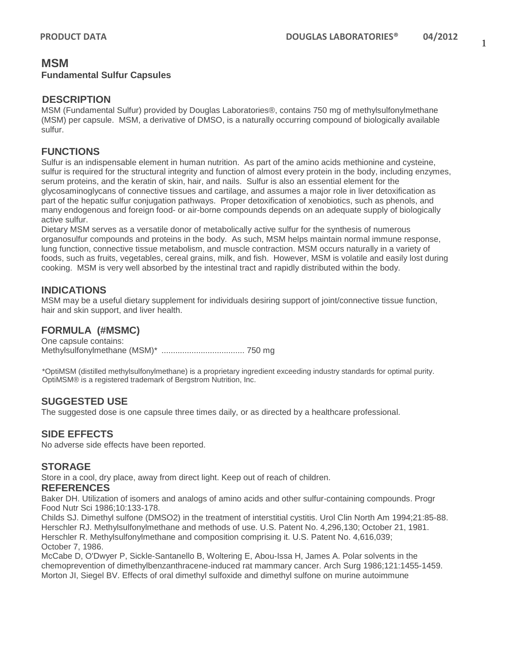### **MSM Fundamental Sulfur Capsules**

### **DESCRIPTION**

MSM (Fundamental Sulfur) provided by Douglas Laboratories®, contains 750 mg of methylsulfonylmethane (MSM) per capsule. MSM, a derivative of DMSO, is a naturally occurring compound of biologically available sulfur.

## **FUNCTIONS**

Sulfur is an indispensable element in human nutrition. As part of the amino acids methionine and cysteine, sulfur is required for the structural integrity and function of almost every protein in the body, including enzymes, serum proteins, and the keratin of skin, hair, and nails. Sulfur is also an essential element for the glycosaminoglycans of connective tissues and cartilage, and assumes a major role in liver detoxification as part of the hepatic sulfur conjugation pathways. Proper detoxification of xenobiotics, such as phenols, and many endogenous and foreign food- or air-borne compounds depends on an adequate supply of biologically active sulfur.

Dietary MSM serves as a versatile donor of metabolically active sulfur for the synthesis of numerous organosulfur compounds and proteins in the body. As such, MSM helps maintain normal immune response, lung function, connective tissue metabolism, and muscle contraction. MSM occurs naturally in a variety of foods, such as fruits, vegetables, cereal grains, milk, and fish. However, MSM is volatile and easily lost during cooking. MSM is very well absorbed by the intestinal tract and rapidly distributed within the body.

## **INDICATIONS**

MSM may be a useful dietary supplement for individuals desiring support of joint/connective tissue function, hair and skin support, and liver health.

## **FORMULA (#MSMC)**

One capsule contains: Methylsulfonylmethane (MSM)\* .................................... 750 mg

\*OptiMSM (distilled methylsulfonylmethane) is a proprietary ingredient exceeding industry standards for optimal purity. OptiMSM® is a registered trademark of Bergstrom Nutrition, Inc.

### **SUGGESTED USE**

The suggested dose is one capsule three times daily, or as directed by a healthcare professional.

## **SIDE EFFECTS**

No adverse side effects have been reported.

### **STORAGE**

Store in a cool, dry place, away from direct light. Keep out of reach of children.

#### **REFERENCES**

Baker DH. Utilization of isomers and analogs of amino acids and other sulfur-containing compounds. Progr Food Nutr Sci 1986;10:133-178.

Childs SJ. Dimethyl sulfone (DMSO2) in the treatment of interstitial cystitis. Urol Clin North Am 1994;21:85-88. Herschler RJ. Methylsulfonylmethane and methods of use. U.S. Patent No. 4,296,130; October 21, 1981. Herschler R. Methylsulfonylmethane and composition comprising it. U.S. Patent No. 4,616,039; October 7, 1986.

McCabe D, O'Dwyer P, Sickle-Santanello B, Woltering E, Abou-Issa H, James A. Polar solvents in the chemoprevention of dimethylbenzanthracene-induced rat mammary cancer. Arch Surg 1986;121:1455-1459. Morton JI, Siegel BV. Effects of oral dimethyl sulfoxide and dimethyl sulfone on murine autoimmune